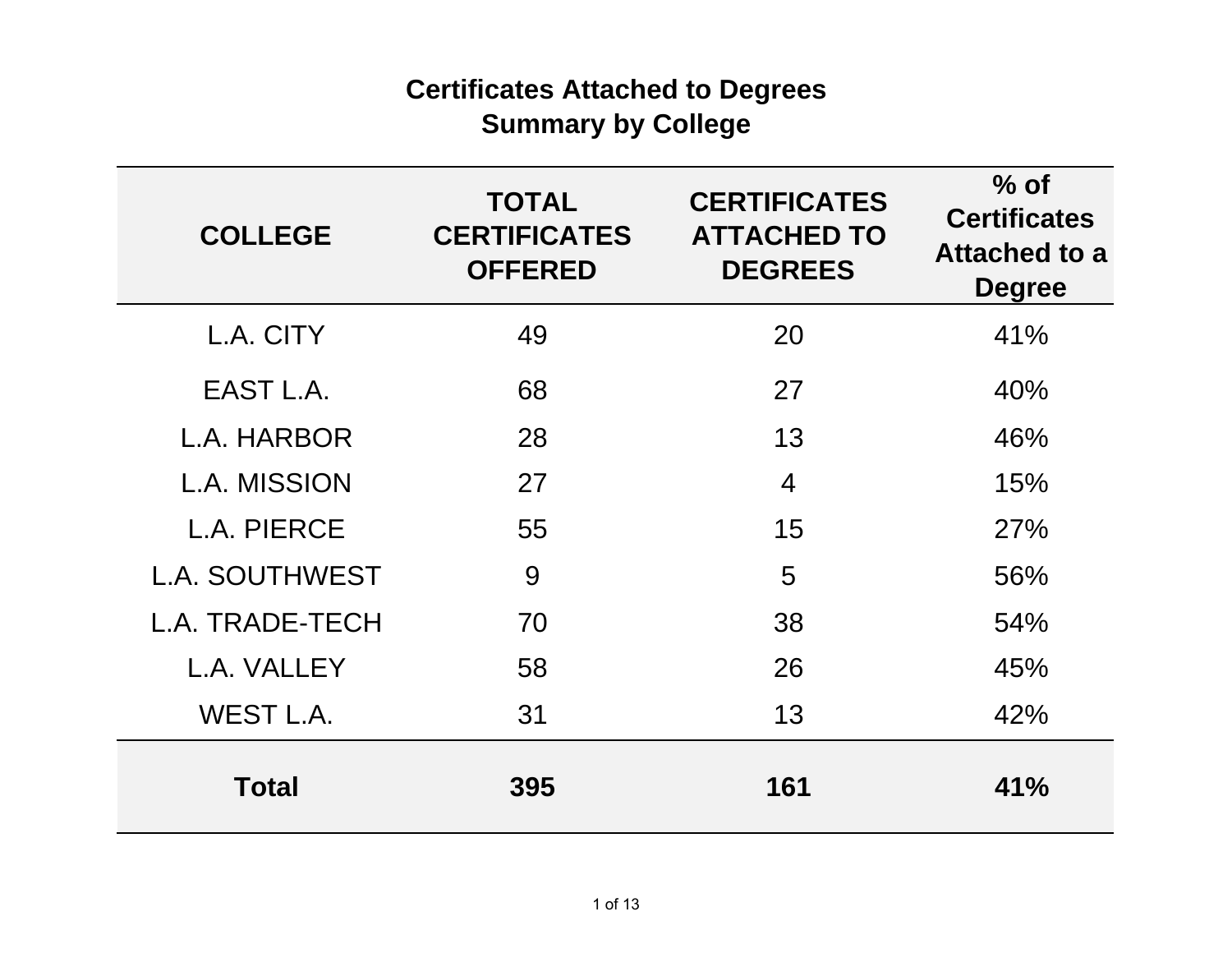# **Certificates Attached to Degrees Summary by College**

| <b>COLLEGE</b>        | <b>TOTAL</b><br><b>CERTIFICATES</b><br><b>OFFERED</b> | <b>CERTIFICATES</b><br><b>ATTACHED TO</b><br><b>DEGREES</b> | $%$ of<br><b>Certificates</b><br><b>Attached to a</b><br><b>Degree</b> |
|-----------------------|-------------------------------------------------------|-------------------------------------------------------------|------------------------------------------------------------------------|
| L.A. CITY             | 49                                                    | 20                                                          | 41%                                                                    |
| EAST L.A.             | 68                                                    | 27                                                          | 40%                                                                    |
| L.A. HARBOR           | 28                                                    | 13                                                          | 46%                                                                    |
| <b>L.A. MISSION</b>   | 27                                                    | 4                                                           | 15%                                                                    |
| L.A. PIERCE           | 55                                                    | 15                                                          | 27%                                                                    |
| <b>L.A. SOUTHWEST</b> | 9                                                     | 5                                                           | 56%                                                                    |
| L.A. TRADE-TECH       | 70                                                    | 38                                                          | 54%                                                                    |
| L.A. VALLEY           | 58                                                    | 26                                                          | 45%                                                                    |
| WEST L.A.             | 31                                                    | 13                                                          | 42%                                                                    |
| <b>Total</b>          | 395                                                   | 161                                                         | 41%                                                                    |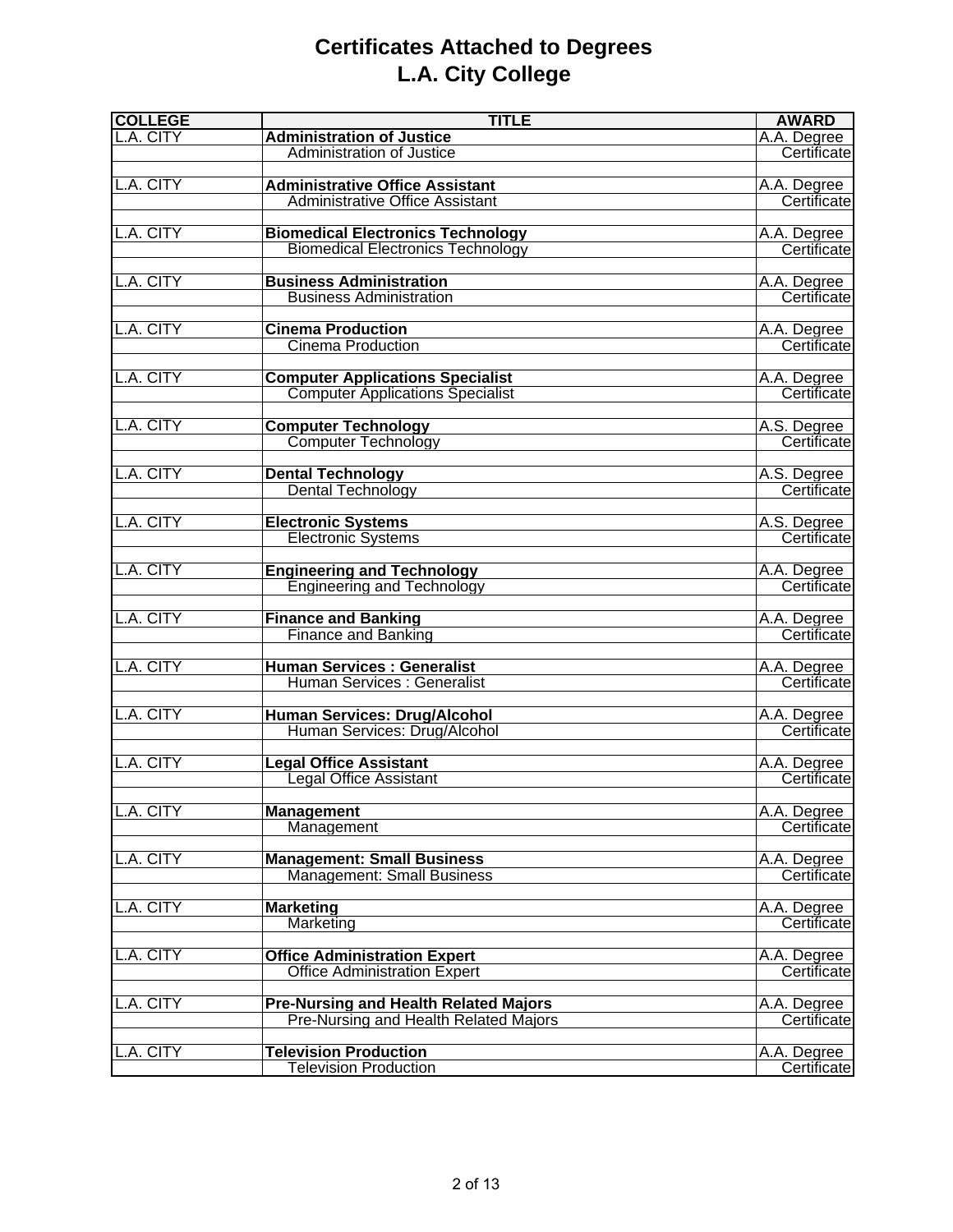# **Certificates Attached to Degrees L.A. City College**

| <b>COLLEGE</b> | <b>TITLE</b>                                                        | <b>AWARD</b>               |
|----------------|---------------------------------------------------------------------|----------------------------|
| L.A. CITY      | <b>Administration of Justice</b>                                    | A.A. Degree                |
|                | Administration of Justice                                           | Certificate                |
|                |                                                                     |                            |
| L.A. CITY      | <b>Administrative Office Assistant</b>                              | A.A. Degree                |
|                | <b>Administrative Office Assistant</b>                              | Certificate                |
|                |                                                                     |                            |
| L.A. CITY      | <b>Biomedical Electronics Technology</b>                            | A.A. Degree                |
|                | <b>Biomedical Electronics Technology</b>                            | Certificate                |
|                |                                                                     |                            |
| L.A. CITY      | <b>Business Administration</b>                                      | A.A. Degree                |
|                | <b>Business Administration</b>                                      | Certificate                |
|                |                                                                     |                            |
| L.A. CITY      | <b>Cinema Production</b>                                            | A.A. Degree                |
|                | Cinema Production                                                   | Certificate                |
|                |                                                                     |                            |
| L.A. CITY      | <b>Computer Applications Specialist</b>                             | A.A. Degree                |
|                | <b>Computer Applications Specialist</b>                             | Certificate                |
|                |                                                                     |                            |
| L.A. CITY      | <b>Computer Technology</b>                                          | A.S. Degree                |
|                | <b>Computer Technology</b>                                          | Certificate                |
|                |                                                                     |                            |
| L.A. CITY      | <b>Dental Technology</b>                                            |                            |
|                | <b>Dental Technology</b>                                            | A.S. Degree<br>Certificate |
|                |                                                                     |                            |
| L.A. CITY      | <b>Electronic Systems</b>                                           |                            |
|                | <b>Electronic Systems</b>                                           | A.S. Degree<br>Certificate |
|                |                                                                     |                            |
| L.A. CITY      |                                                                     |                            |
|                | <b>Engineering and Technology</b>                                   | A.A. Degree<br>Certificate |
|                | <b>Engineering and Technology</b>                                   |                            |
|                |                                                                     |                            |
| L.A. CITY      | <b>Finance and Banking</b>                                          | A.A. Degree                |
|                | <b>Finance and Banking</b>                                          | Certificate                |
| L.A. CITY      | <b>Human Services: Generalist</b>                                   |                            |
|                | Human Services : Generalist                                         | A.A. Degree<br>Certificate |
|                |                                                                     |                            |
| L.A. CITY      |                                                                     |                            |
|                | <b>Human Services: Drug/Alcohol</b><br>Human Services: Drug/Alcohol | A.A. Degree<br>Certificate |
|                |                                                                     |                            |
| L.A. CITY      | <b>Legal Office Assistant</b>                                       |                            |
|                | <b>Legal Office Assistant</b>                                       | A.A. Degree                |
|                |                                                                     | Certificate                |
| L.A. CITY      |                                                                     | A.A. Degree                |
|                | <b>Management</b>                                                   | Certificate                |
|                | Management                                                          |                            |
|                |                                                                     |                            |
| L.A. CITY      | <b>Management: Small Business</b>                                   | A.A. Degree                |
|                | <b>Management: Small Business</b>                                   | Certificate                |
|                |                                                                     |                            |
| L.A. CITY      | <b>Marketing</b><br>Marketing                                       | A.A. Degree<br>Certificate |
|                |                                                                     |                            |
| L.A. CITY      |                                                                     |                            |
|                | <b>Office Administration Expert</b>                                 | A.A. Degree                |
|                | <b>Office Administration Expert</b>                                 | Certificate                |
|                |                                                                     |                            |
| L.A. CITY      | <b>Pre-Nursing and Health Related Majors</b>                        | A.A. Degree                |
|                | Pre-Nursing and Health Related Majors                               | Certificate                |
|                |                                                                     |                            |
| L.A. CITY      | <b>Television Production</b>                                        | A.A. Degree                |
|                | <b>Television Production</b>                                        | Certificate                |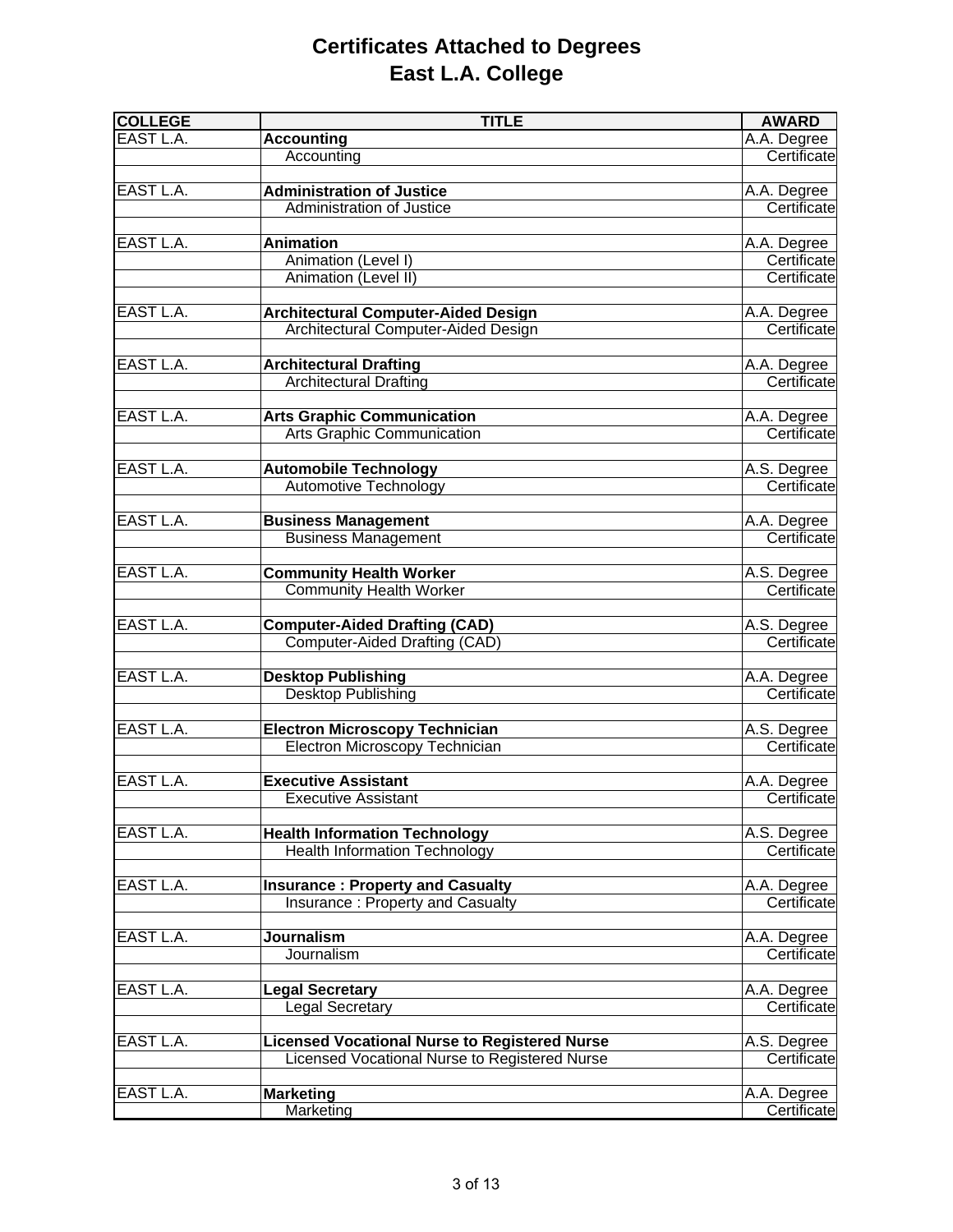## **Certificates Attached to Degrees East L.A. College**

| <b>COLLEGE</b> | <b>TITLE</b>                                         | <b>AWARD</b> |
|----------------|------------------------------------------------------|--------------|
| EAST L.A.      | <b>Accounting</b>                                    | A.A. Degree  |
|                | Accounting                                           | Certificate  |
|                |                                                      |              |
| EAST L.A.      | <b>Administration of Justice</b>                     | A.A. Degree  |
|                | <b>Administration of Justice</b>                     | Certificate  |
|                |                                                      |              |
| EAST L.A.      | <b>Animation</b>                                     | A.A. Degree  |
|                | Animation (Level I)                                  | Certificate  |
|                | Animation (Level II)                                 | Certificate  |
|                |                                                      |              |
| EAST L.A.      | <b>Architectural Computer-Aided Design</b>           | A.A. Degree  |
|                | Architectural Computer-Aided Design                  | Certificate  |
|                |                                                      |              |
| EAST L.A.      | <b>Architectural Drafting</b>                        | A.A. Degree  |
|                | <b>Architectural Drafting</b>                        | Certificate  |
|                |                                                      |              |
| EAST L.A.      | <b>Arts Graphic Communication</b>                    | A.A. Degree  |
|                | <b>Arts Graphic Communication</b>                    | Certificate  |
|                |                                                      |              |
| EAST L.A.      | <b>Automobile Technology</b>                         | A.S. Degree  |
|                | Automotive Technology                                | Certificate  |
|                |                                                      |              |
| EAST L.A.      | <b>Business Management</b>                           | A.A. Degree  |
|                | <b>Business Management</b>                           | Certificate  |
|                |                                                      |              |
| EAST L.A.      | <b>Community Health Worker</b>                       | A.S. Degree  |
|                | <b>Community Health Worker</b>                       | Certificate  |
|                |                                                      |              |
| EAST L.A.      | <b>Computer-Aided Drafting (CAD)</b>                 | A.S. Degree  |
|                | <b>Computer-Aided Drafting (CAD)</b>                 | Certificate  |
|                |                                                      |              |
| EAST L.A.      | <b>Desktop Publishing</b>                            | A.A. Degree  |
|                | <b>Desktop Publishing</b>                            | Certificate  |
|                |                                                      |              |
| EAST L.A.      | <b>Electron Microscopy Technician</b>                | A.S. Degree  |
|                | Electron Microscopy Technician                       | Certificate  |
|                |                                                      |              |
| EAST L.A.      | <b>Executive Assistant</b>                           | A.A. Degree  |
|                | <b>Executive Assistant</b>                           | Certificate  |
|                |                                                      |              |
| EAST L.A.      | <b>Health Information Technology</b>                 | A.S. Degree  |
|                | <b>Health Information Technology</b>                 | Certificate  |
|                |                                                      |              |
| EAST L.A.      | <b>Insurance: Property and Casualty</b>              | A.A. Degree  |
|                | Insurance: Property and Casualty                     | Certificate  |
|                |                                                      |              |
| EAST L.A.      | <b>Journalism</b>                                    | A.A. Degree  |
|                | Journalism                                           | Certificate  |
|                |                                                      |              |
| EAST L.A.      | <b>Legal Secretary</b>                               | A.A. Degree  |
|                | <b>Legal Secretary</b>                               | Certificate  |
|                |                                                      |              |
| EAST L.A.      | <b>Licensed Vocational Nurse to Registered Nurse</b> | A.S. Degree  |
|                | Licensed Vocational Nurse to Registered Nurse        | Certificate  |
|                |                                                      |              |
| EAST L.A.      | <b>Marketing</b>                                     | A.A. Degree  |
|                | Marketing                                            | Certificate  |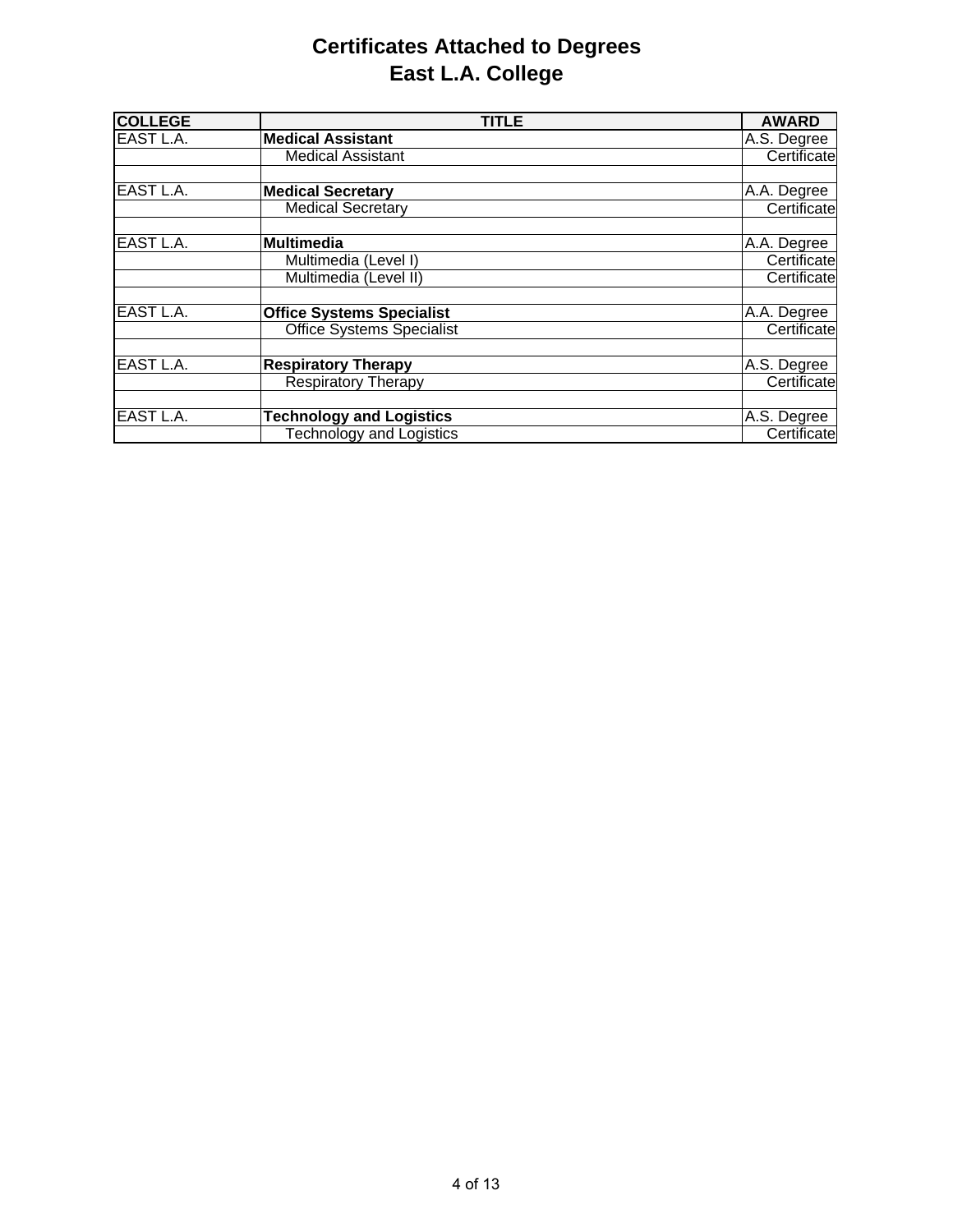## **Certificates Attached to Degrees East L.A. College**

| <b>COLLEGE</b> | <b>TITLE</b>                     | <b>AWARD</b> |
|----------------|----------------------------------|--------------|
| EAST L.A.      | <b>Medical Assistant</b>         | A.S. Degree  |
|                | <b>Medical Assistant</b>         | Certificate  |
| EAST L.A.      | <b>Medical Secretary</b>         | A.A. Degree  |
|                | <b>Medical Secretary</b>         | Certificate  |
| EAST L.A.      | <b>Multimedia</b>                | A.A. Degree  |
|                | Multimedia (Level I)             | Certificate  |
|                | Multimedia (Level II)            | Certificate  |
| EAST L.A.      | <b>Office Systems Specialist</b> | A.A. Degree  |
|                | <b>Office Systems Specialist</b> | Certificate  |
| EAST L.A.      | <b>Respiratory Therapy</b>       | A.S. Degree  |
|                | <b>Respiratory Therapy</b>       | Certificate  |
| EAST L.A.      | <b>Technology and Logistics</b>  | A.S. Degree  |
|                | <b>Technology and Logistics</b>  | Certificate  |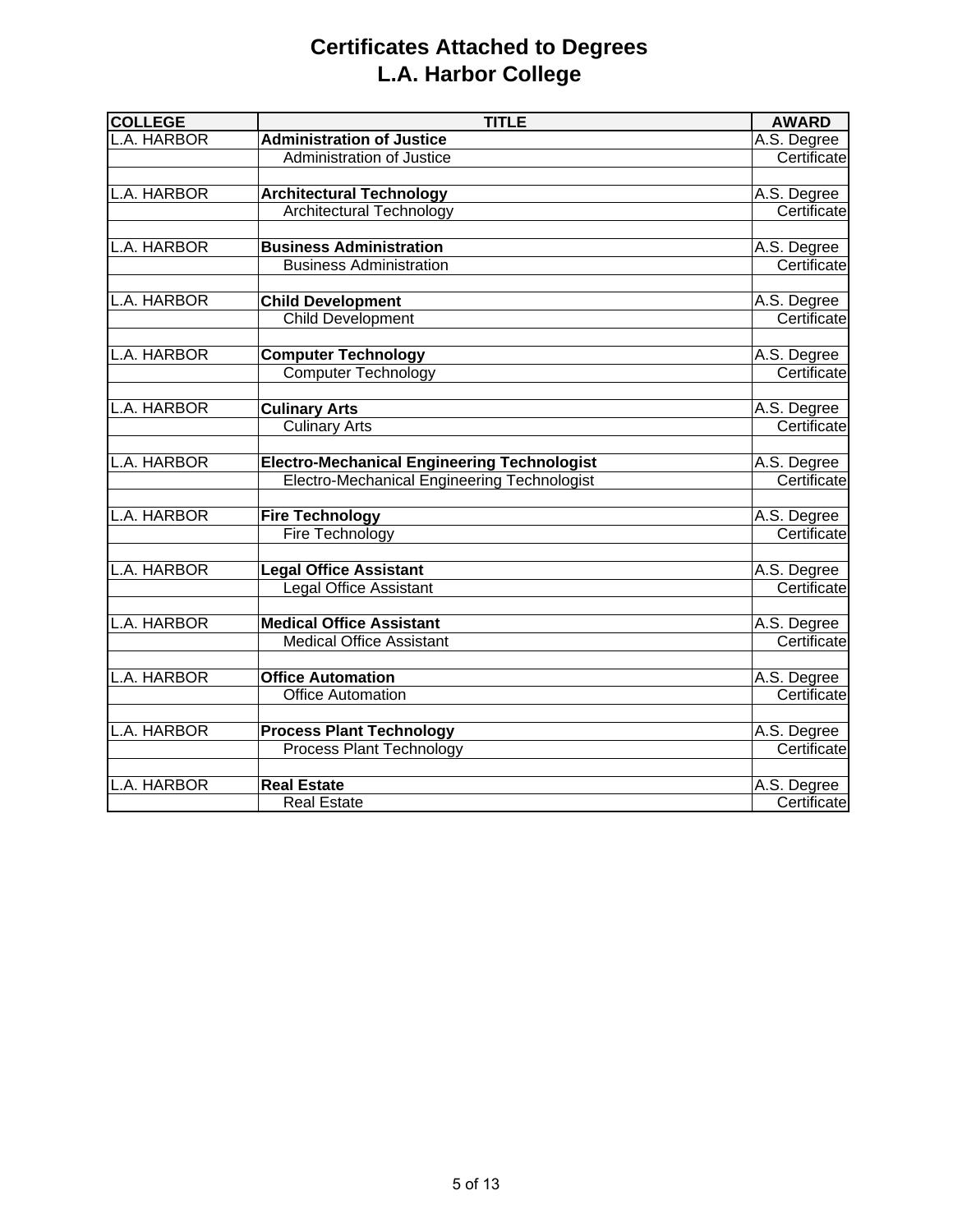# **Certificates Attached to Degrees L.A. Harbor College**

| <b>COLLEGE</b>   | <b>TITLE</b>                                                   | <b>AWARD</b>               |
|------------------|----------------------------------------------------------------|----------------------------|
| L.A. HARBOR      | <b>Administration of Justice</b>                               | A.S. Degree                |
|                  | <b>Administration of Justice</b>                               | Certificate                |
|                  |                                                                |                            |
| L.A. HARBOR      | <b>Architectural Technology</b>                                | A.S. Degree                |
|                  | <b>Architectural Technology</b>                                | Certificate                |
| A. HARBOR        | <b>Business Administration</b>                                 | A.S. Degree                |
|                  | <b>Business Administration</b>                                 | Certificate                |
|                  |                                                                |                            |
| L.A. HARBOR      | <b>Child Development</b>                                       | A.S. Degree                |
|                  | <b>Child Development</b>                                       | Certificate                |
|                  |                                                                |                            |
| L.A. HARBOR      | <b>Computer Technology</b>                                     | A.S. Degree                |
|                  | <b>Computer Technology</b>                                     | Certificate                |
| <b>A. HARBOR</b> |                                                                |                            |
|                  | <b>Culinary Arts</b>                                           | A.S. Degree<br>Certificate |
|                  | <b>Culinary Arts</b>                                           |                            |
| L.A. HARBOR      | <b>Electro-Mechanical Engineering Technologist</b>             | A.S. Degree                |
|                  | Electro-Mechanical Engineering Technologist                    | Certificate                |
|                  |                                                                |                            |
| L.A. HARBOR      | <b>Fire Technology</b>                                         | A.S. Degree                |
|                  | Fire Technology                                                | Certificate                |
| L.A. HARBOR      |                                                                |                            |
|                  | <b>Legal Office Assistant</b><br><b>Legal Office Assistant</b> | A.S. Degree<br>Certificate |
|                  |                                                                |                            |
| A. HARBOR        | <b>Medical Office Assistant</b>                                | A.S. Degree                |
|                  | <b>Medical Office Assistant</b>                                | Certificate                |
|                  |                                                                |                            |
| L.A. HARBOR      | <b>Office Automation</b>                                       | A.S. Degree                |
|                  | <b>Office Automation</b>                                       | Certificate                |
| A. HARBOR        | <b>Process Plant Technology</b>                                | A.S. Degree                |
|                  | Process Plant Technology                                       | Certificate                |
|                  |                                                                |                            |
| .A. HARBOR       | <b>Real Estate</b>                                             | A.S. Degree                |
|                  | <b>Real Estate</b>                                             | Certificate                |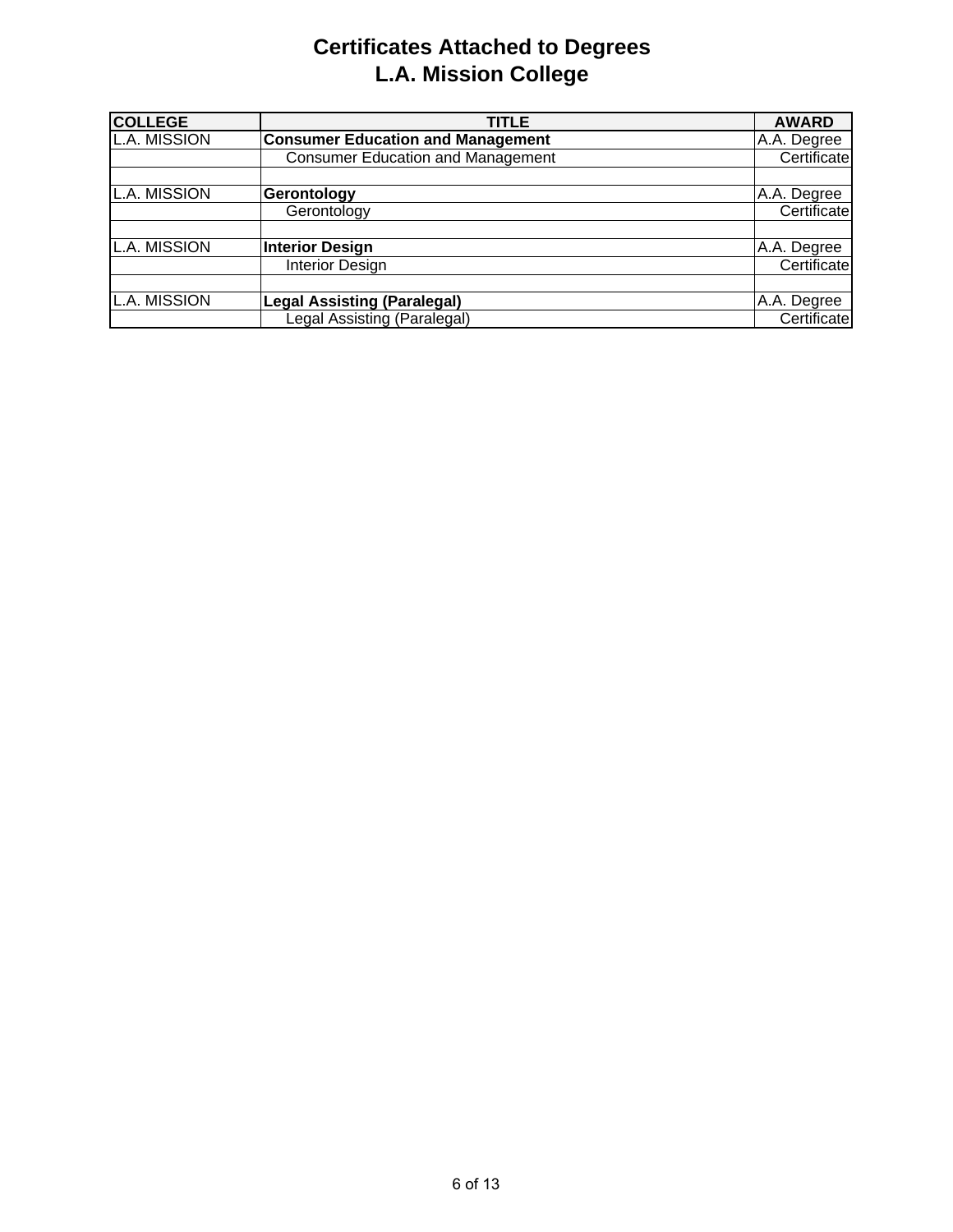# **Certificates Attached to Degrees L.A. Mission College**

| <b>COLLEGE</b>      | TITLE                                    | <b>AWARD</b> |
|---------------------|------------------------------------------|--------------|
| <b>L.A. MISSION</b> | <b>Consumer Education and Management</b> | A.A. Degree  |
|                     | <b>Consumer Education and Management</b> | Certificate  |
|                     |                                          |              |
| <b>L.A. MISSION</b> | Gerontology                              | A.A. Degree  |
|                     | Gerontology                              | Certificate  |
| <b>L.A. MISSION</b> | <b>Interior Design</b>                   | A.A. Degree  |
|                     | <b>Interior Design</b>                   | Certificate  |
| <b>L.A. MISSION</b> | <b>Legal Assisting (Paralegal)</b>       | A.A. Degree  |
|                     | Legal Assisting (Paralegal)              | Certificate  |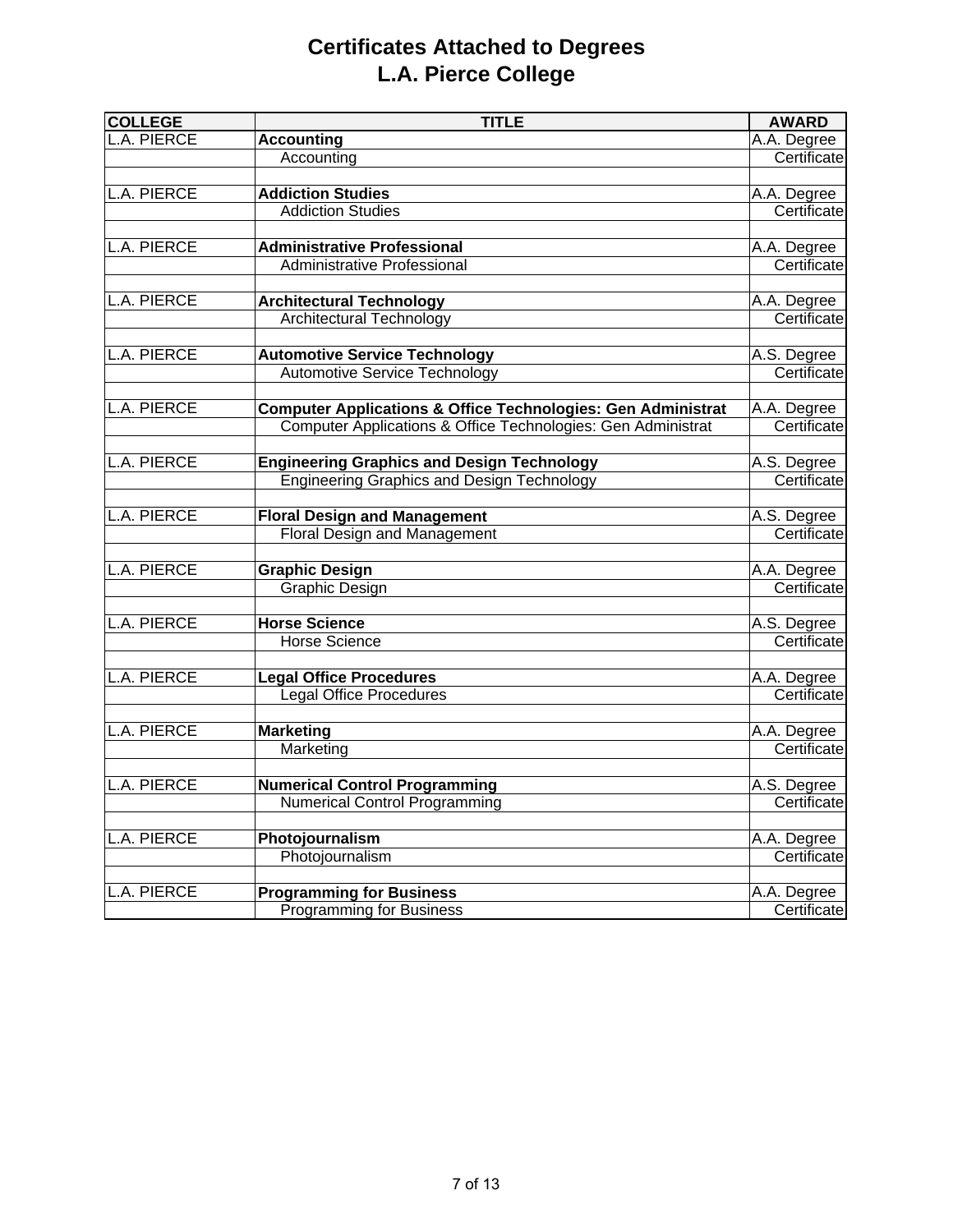# **Certificates Attached to Degrees L.A. Pierce College**

| <b>TITLE</b>             | <b>AWARD</b>                                                                                                                                                                                                                                                                                                                                                                                                                                                                                                                                                                                                                                                                                                                                                                                                                                                                                                                       |
|--------------------------|------------------------------------------------------------------------------------------------------------------------------------------------------------------------------------------------------------------------------------------------------------------------------------------------------------------------------------------------------------------------------------------------------------------------------------------------------------------------------------------------------------------------------------------------------------------------------------------------------------------------------------------------------------------------------------------------------------------------------------------------------------------------------------------------------------------------------------------------------------------------------------------------------------------------------------|
| <b>Accounting</b>        | A.A. Degree                                                                                                                                                                                                                                                                                                                                                                                                                                                                                                                                                                                                                                                                                                                                                                                                                                                                                                                        |
| Accounting               | Certificate                                                                                                                                                                                                                                                                                                                                                                                                                                                                                                                                                                                                                                                                                                                                                                                                                                                                                                                        |
|                          |                                                                                                                                                                                                                                                                                                                                                                                                                                                                                                                                                                                                                                                                                                                                                                                                                                                                                                                                    |
| <b>Addiction Studies</b> | A.A. Degree                                                                                                                                                                                                                                                                                                                                                                                                                                                                                                                                                                                                                                                                                                                                                                                                                                                                                                                        |
|                          | Certificate                                                                                                                                                                                                                                                                                                                                                                                                                                                                                                                                                                                                                                                                                                                                                                                                                                                                                                                        |
|                          |                                                                                                                                                                                                                                                                                                                                                                                                                                                                                                                                                                                                                                                                                                                                                                                                                                                                                                                                    |
|                          | A.A. Degree                                                                                                                                                                                                                                                                                                                                                                                                                                                                                                                                                                                                                                                                                                                                                                                                                                                                                                                        |
|                          | Certificate                                                                                                                                                                                                                                                                                                                                                                                                                                                                                                                                                                                                                                                                                                                                                                                                                                                                                                                        |
|                          |                                                                                                                                                                                                                                                                                                                                                                                                                                                                                                                                                                                                                                                                                                                                                                                                                                                                                                                                    |
|                          | A.A. Degree                                                                                                                                                                                                                                                                                                                                                                                                                                                                                                                                                                                                                                                                                                                                                                                                                                                                                                                        |
|                          | Certificate                                                                                                                                                                                                                                                                                                                                                                                                                                                                                                                                                                                                                                                                                                                                                                                                                                                                                                                        |
|                          |                                                                                                                                                                                                                                                                                                                                                                                                                                                                                                                                                                                                                                                                                                                                                                                                                                                                                                                                    |
|                          | A.S. Degree                                                                                                                                                                                                                                                                                                                                                                                                                                                                                                                                                                                                                                                                                                                                                                                                                                                                                                                        |
|                          | Certificate                                                                                                                                                                                                                                                                                                                                                                                                                                                                                                                                                                                                                                                                                                                                                                                                                                                                                                                        |
|                          |                                                                                                                                                                                                                                                                                                                                                                                                                                                                                                                                                                                                                                                                                                                                                                                                                                                                                                                                    |
|                          | A.A. Degree<br>Certificate                                                                                                                                                                                                                                                                                                                                                                                                                                                                                                                                                                                                                                                                                                                                                                                                                                                                                                         |
|                          |                                                                                                                                                                                                                                                                                                                                                                                                                                                                                                                                                                                                                                                                                                                                                                                                                                                                                                                                    |
|                          | A.S. Degree                                                                                                                                                                                                                                                                                                                                                                                                                                                                                                                                                                                                                                                                                                                                                                                                                                                                                                                        |
|                          | Certificate                                                                                                                                                                                                                                                                                                                                                                                                                                                                                                                                                                                                                                                                                                                                                                                                                                                                                                                        |
|                          |                                                                                                                                                                                                                                                                                                                                                                                                                                                                                                                                                                                                                                                                                                                                                                                                                                                                                                                                    |
|                          | A.S. Degree                                                                                                                                                                                                                                                                                                                                                                                                                                                                                                                                                                                                                                                                                                                                                                                                                                                                                                                        |
|                          | Certificate                                                                                                                                                                                                                                                                                                                                                                                                                                                                                                                                                                                                                                                                                                                                                                                                                                                                                                                        |
|                          |                                                                                                                                                                                                                                                                                                                                                                                                                                                                                                                                                                                                                                                                                                                                                                                                                                                                                                                                    |
|                          | A.A. Degree                                                                                                                                                                                                                                                                                                                                                                                                                                                                                                                                                                                                                                                                                                                                                                                                                                                                                                                        |
|                          | Certificate                                                                                                                                                                                                                                                                                                                                                                                                                                                                                                                                                                                                                                                                                                                                                                                                                                                                                                                        |
|                          |                                                                                                                                                                                                                                                                                                                                                                                                                                                                                                                                                                                                                                                                                                                                                                                                                                                                                                                                    |
| <b>Horse Science</b>     | A.S. Degree                                                                                                                                                                                                                                                                                                                                                                                                                                                                                                                                                                                                                                                                                                                                                                                                                                                                                                                        |
| <b>Horse Science</b>     | Certificate                                                                                                                                                                                                                                                                                                                                                                                                                                                                                                                                                                                                                                                                                                                                                                                                                                                                                                                        |
|                          |                                                                                                                                                                                                                                                                                                                                                                                                                                                                                                                                                                                                                                                                                                                                                                                                                                                                                                                                    |
|                          | A.A. Degree                                                                                                                                                                                                                                                                                                                                                                                                                                                                                                                                                                                                                                                                                                                                                                                                                                                                                                                        |
|                          | Certificate                                                                                                                                                                                                                                                                                                                                                                                                                                                                                                                                                                                                                                                                                                                                                                                                                                                                                                                        |
|                          |                                                                                                                                                                                                                                                                                                                                                                                                                                                                                                                                                                                                                                                                                                                                                                                                                                                                                                                                    |
|                          | A.A. Degree                                                                                                                                                                                                                                                                                                                                                                                                                                                                                                                                                                                                                                                                                                                                                                                                                                                                                                                        |
|                          | Certificate                                                                                                                                                                                                                                                                                                                                                                                                                                                                                                                                                                                                                                                                                                                                                                                                                                                                                                                        |
|                          |                                                                                                                                                                                                                                                                                                                                                                                                                                                                                                                                                                                                                                                                                                                                                                                                                                                                                                                                    |
|                          | A.S. Degree                                                                                                                                                                                                                                                                                                                                                                                                                                                                                                                                                                                                                                                                                                                                                                                                                                                                                                                        |
|                          | Certificate                                                                                                                                                                                                                                                                                                                                                                                                                                                                                                                                                                                                                                                                                                                                                                                                                                                                                                                        |
|                          | A.A. Degree                                                                                                                                                                                                                                                                                                                                                                                                                                                                                                                                                                                                                                                                                                                                                                                                                                                                                                                        |
|                          | Certificate                                                                                                                                                                                                                                                                                                                                                                                                                                                                                                                                                                                                                                                                                                                                                                                                                                                                                                                        |
|                          |                                                                                                                                                                                                                                                                                                                                                                                                                                                                                                                                                                                                                                                                                                                                                                                                                                                                                                                                    |
|                          | A.A. Degree                                                                                                                                                                                                                                                                                                                                                                                                                                                                                                                                                                                                                                                                                                                                                                                                                                                                                                                        |
|                          | Certificate                                                                                                                                                                                                                                                                                                                                                                                                                                                                                                                                                                                                                                                                                                                                                                                                                                                                                                                        |
|                          | <b>Addiction Studies</b><br><b>Administrative Professional</b><br>Administrative Professional<br><b>Architectural Technology</b><br><b>Architectural Technology</b><br><b>Automotive Service Technology</b><br><b>Automotive Service Technology</b><br><b>Computer Applications &amp; Office Technologies: Gen Administrat</b><br>Computer Applications & Office Technologies: Gen Administrat<br><b>Engineering Graphics and Design Technology</b><br><b>Engineering Graphics and Design Technology</b><br><b>Floral Design and Management</b><br><b>Floral Design and Management</b><br><b>Graphic Design</b><br>Graphic Design<br><b>Legal Office Procedures</b><br><b>Legal Office Procedures</b><br><b>Marketing</b><br>Marketing<br><b>Numerical Control Programming</b><br><b>Numerical Control Programming</b><br>Photojournalism<br>Photojournalism<br><b>Programming for Business</b><br><b>Programming for Business</b> |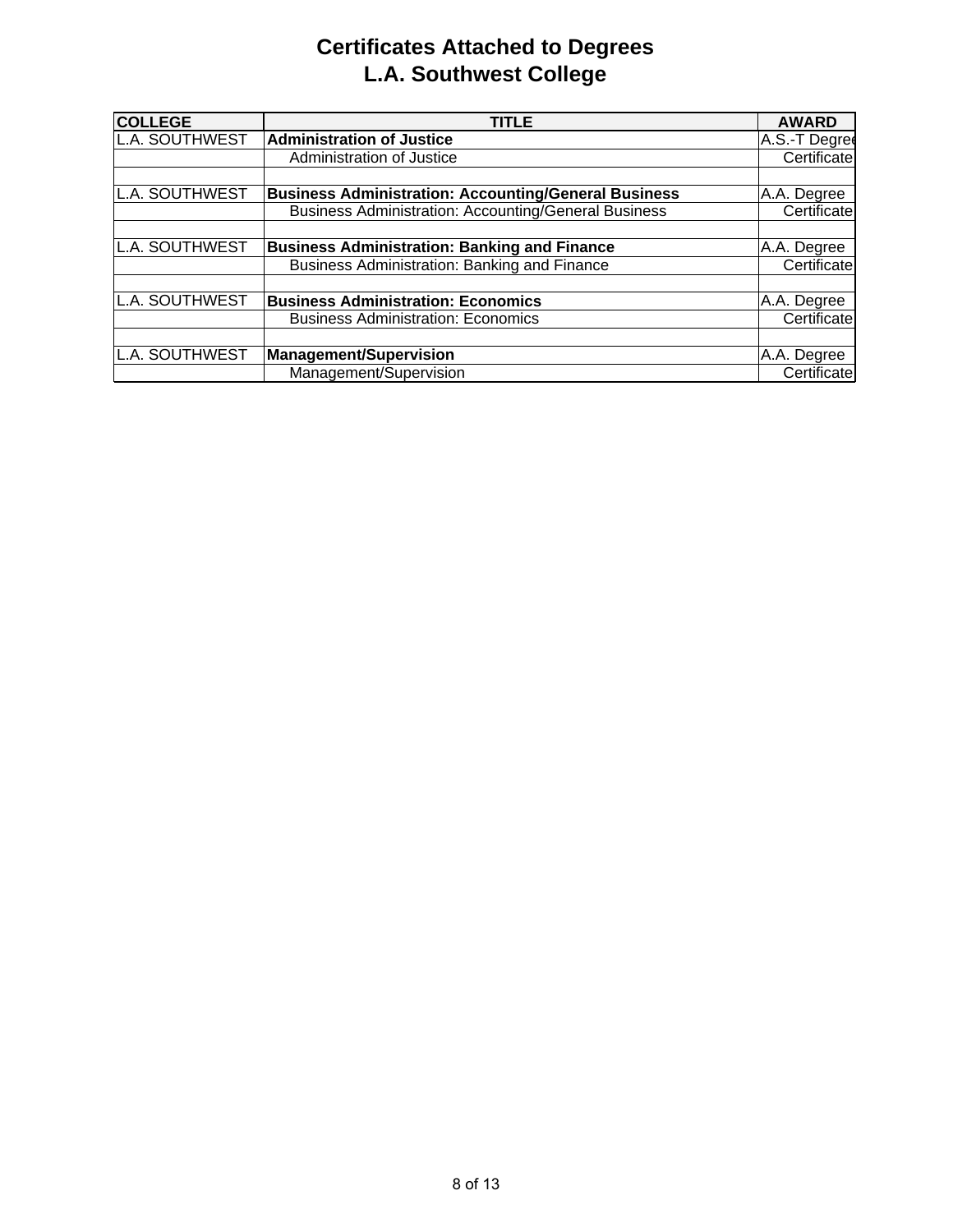# **Certificates Attached to Degrees L.A. Southwest College**

| <b>COLLEGE</b> | <b>TITLE</b>                                                | <b>AWARD</b>  |
|----------------|-------------------------------------------------------------|---------------|
| L.A. SOUTHWEST | <b>Administration of Justice</b>                            | A.S.-T Degree |
|                | Administration of Justice                                   | Certificate   |
|                |                                                             |               |
| L.A. SOUTHWEST | <b>Business Administration: Accounting/General Business</b> | A.A. Degree   |
|                | <b>Business Administration: Accounting/General Business</b> | Certificate   |
|                |                                                             |               |
| L.A. SOUTHWEST | <b>Business Administration: Banking and Finance</b>         | A.A. Degree   |
|                | Business Administration: Banking and Finance                | Certificate   |
|                |                                                             |               |
| L.A. SOUTHWEST | <b>Business Administration: Economics</b>                   | A.A. Degree   |
|                | <b>Business Administration: Economics</b>                   | Certificate   |
|                |                                                             |               |
| L.A. SOUTHWEST | <b>Management/Supervision</b>                               | A.A. Degree   |
|                | Management/Supervision                                      | Certificate   |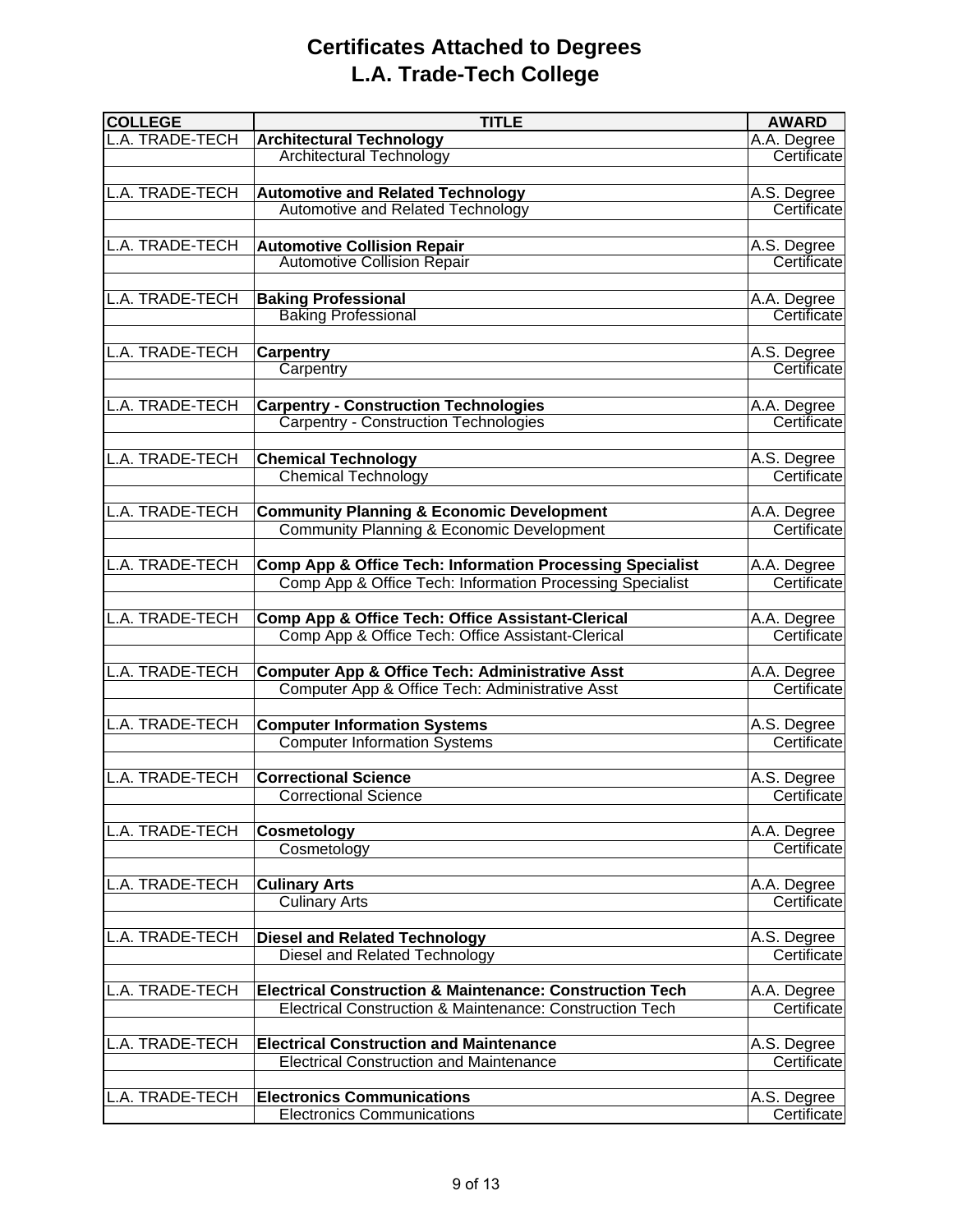## **Certificates Attached to Degrees L.A. Trade-Tech College**

| <b>COLLEGE</b>         | <b>TITLE</b>                                                                                      | <b>AWARD</b>               |
|------------------------|---------------------------------------------------------------------------------------------------|----------------------------|
| L.A. TRADE-TECH        | <b>Architectural Technology</b>                                                                   | A.A. Degree                |
|                        | <b>Architectural Technology</b>                                                                   | Certificate                |
|                        |                                                                                                   |                            |
| L.A. TRADE-TECH        | <b>Automotive and Related Technology</b>                                                          | A.S. Degree                |
|                        | <b>Automotive and Related Technology</b>                                                          | Certificate                |
|                        |                                                                                                   |                            |
| <b>L.A. TRADE-TECH</b> | <b>Automotive Collision Repair</b>                                                                | A.S. Degree                |
|                        | <b>Automotive Collision Repair</b>                                                                | Certificate                |
|                        |                                                                                                   |                            |
| L.A. TRADE-TECH        | <b>Baking Professional</b>                                                                        | A.A. Degree                |
|                        | <b>Baking Professional</b>                                                                        | Certificate                |
|                        |                                                                                                   |                            |
| L.A. TRADE-TECH        | <b>Carpentry</b>                                                                                  | A.S. Degree                |
|                        | Carpentry                                                                                         | Certificate                |
|                        |                                                                                                   |                            |
| L.A. TRADE-TECH        | <b>Carpentry - Construction Technologies</b>                                                      | A.A. Degree                |
|                        | <b>Carpentry - Construction Technologies</b>                                                      | Certificate                |
|                        |                                                                                                   |                            |
| L.A. TRADE-TECH        | <b>Chemical Technology</b>                                                                        | A.S. Degree                |
|                        | <b>Chemical Technology</b>                                                                        | Certificate                |
|                        |                                                                                                   |                            |
| L.A. TRADE-TECH        |                                                                                                   |                            |
|                        | <b>Community Planning &amp; Economic Development</b><br>Community Planning & Economic Development | A.A. Degree<br>Certificate |
|                        |                                                                                                   |                            |
| L.A. TRADE-TECH        |                                                                                                   |                            |
|                        | <b>Comp App &amp; Office Tech: Information Processing Specialist</b>                              | A.A. Degree                |
|                        | Comp App & Office Tech: Information Processing Specialist                                         | Certificate                |
|                        |                                                                                                   |                            |
| L.A. TRADE-TECH        | Comp App & Office Tech: Office Assistant-Clerical                                                 | A.A. Degree                |
|                        | Comp App & Office Tech: Office Assistant-Clerical                                                 | Certificate                |
|                        |                                                                                                   |                            |
| L.A. TRADE-TECH        | <b>Computer App &amp; Office Tech: Administrative Asst</b>                                        | A.A. Degree                |
|                        | Computer App & Office Tech: Administrative Asst                                                   | Certificate                |
|                        |                                                                                                   |                            |
| L.A. TRADE-TECH        | <b>Computer Information Systems</b>                                                               | A.S. Degree                |
|                        | <b>Computer Information Systems</b>                                                               | Certificate                |
|                        |                                                                                                   |                            |
| L.A. TRADE-TECH        | <b>Correctional Science</b>                                                                       | A.S. Degree                |
|                        | <b>Correctional Science</b>                                                                       | Certificate                |
|                        |                                                                                                   |                            |
| L.A. TRADE-TECH        | Cosmetology                                                                                       | A.A. Degree                |
|                        | Cosmetology                                                                                       | Certificate                |
|                        |                                                                                                   |                            |
| L.A. TRADE-TECH        | <b>Culinary Arts</b>                                                                              | A.A. Degree                |
|                        | <b>Culinary Arts</b>                                                                              | Certificate                |
|                        |                                                                                                   |                            |
| <b>L.A. TRADE-TECH</b> | <b>Diesel and Related Technology</b>                                                              | A.S. Degree                |
|                        | Diesel and Related Technology                                                                     | Certificate                |
|                        |                                                                                                   |                            |
| L.A. TRADE-TECH        | <b>Electrical Construction &amp; Maintenance: Construction Tech</b>                               | A.A. Degree                |
|                        | Electrical Construction & Maintenance: Construction Tech                                          | Certificate                |
|                        |                                                                                                   |                            |
| L.A. TRADE-TECH        | <b>Electrical Construction and Maintenance</b>                                                    | A.S. Degree                |
|                        | <b>Electrical Construction and Maintenance</b>                                                    | Certificate                |
|                        |                                                                                                   |                            |
| L.A. TRADE-TECH        | <b>Electronics Communications</b>                                                                 | A.S. Degree                |
|                        | <b>Electronics Communications</b>                                                                 | Certificate                |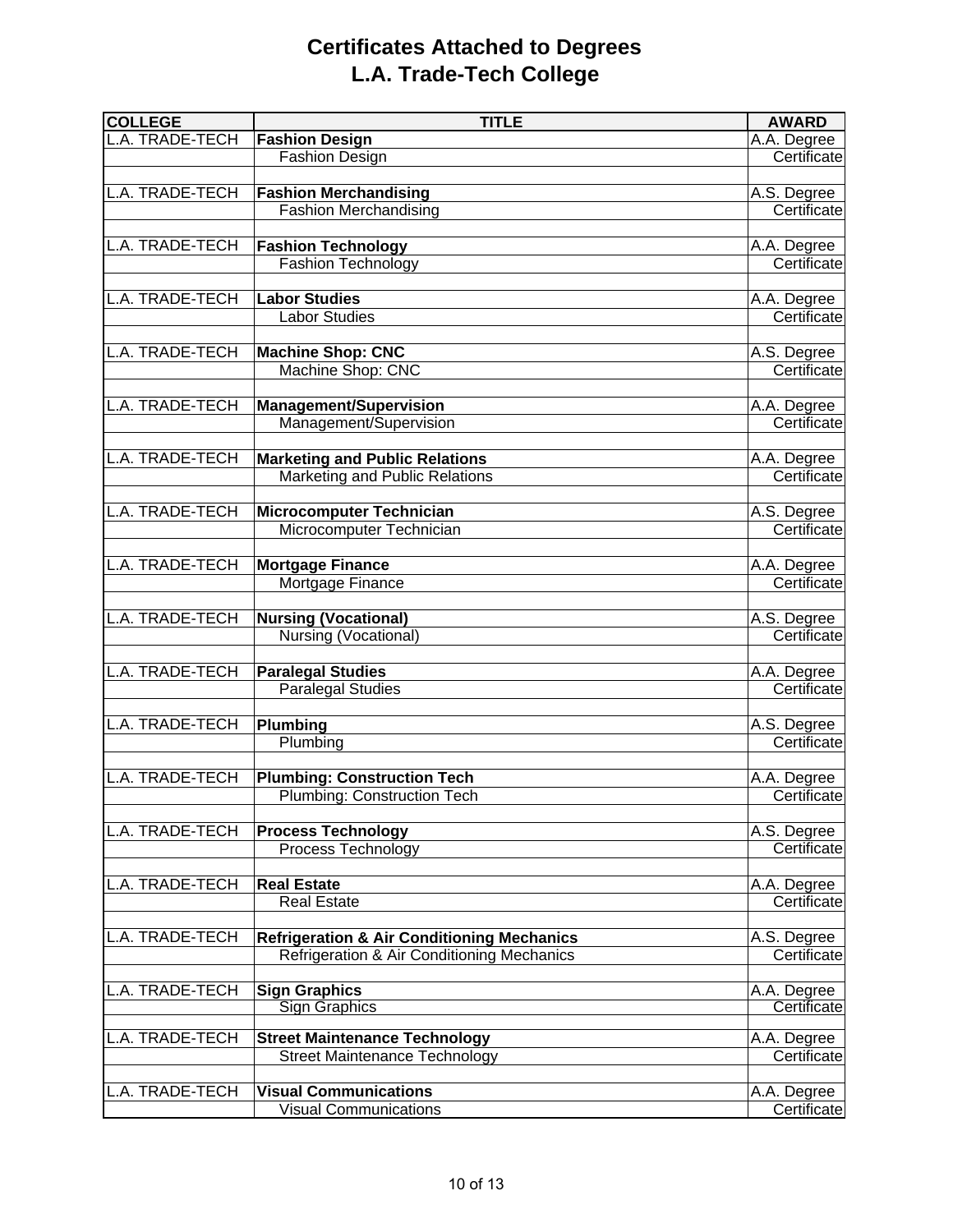## **Certificates Attached to Degrees L.A. Trade-Tech College**

| <b>COLLEGE</b>         | <b>TITLE</b>                                          | <b>AWARD</b> |
|------------------------|-------------------------------------------------------|--------------|
| L.A. TRADE-TECH        | <b>Fashion Design</b>                                 | A.A. Degree  |
|                        | Fashion Design                                        | Certificate  |
|                        |                                                       |              |
| L.A. TRADE-TECH        | <b>Fashion Merchandising</b>                          | A.S. Degree  |
|                        | <b>Fashion Merchandising</b>                          | Certificate  |
|                        |                                                       |              |
| <b>L.A. TRADE-TECH</b> | <b>Fashion Technology</b>                             | A.A. Degree  |
|                        | <b>Fashion Technology</b>                             | Certificate  |
|                        |                                                       |              |
| L.A. TRADE-TECH        | <b>Labor Studies</b>                                  | A.A. Degree  |
|                        | <b>Labor Studies</b>                                  | Certificate  |
|                        |                                                       |              |
| L.A. TRADE-TECH        | <b>Machine Shop: CNC</b>                              | A.S. Degree  |
|                        | Machine Shop: CNC                                     | Certificate  |
|                        |                                                       |              |
| L.A. TRADE-TECH        | <b>Management/Supervision</b>                         | A.A. Degree  |
|                        | Management/Supervision                                | Certificate  |
| L.A. TRADE-TECH        | <b>Marketing and Public Relations</b>                 | A.A. Degree  |
|                        | Marketing and Public Relations                        | Certificate  |
|                        |                                                       |              |
| L.A. TRADE-TECH        | <b>Microcomputer Technician</b>                       | A.S. Degree  |
|                        | Microcomputer Technician                              | Certificate  |
|                        |                                                       |              |
| L.A. TRADE-TECH        | Mortgage Finance                                      | A.A. Degree  |
|                        | Mortgage Finance                                      | Certificate  |
|                        |                                                       |              |
| L.A. TRADE-TECH        | <b>Nursing (Vocational)</b>                           | A.S. Degree  |
|                        | Nursing (Vocational)                                  | Certificate  |
|                        |                                                       |              |
| <b>L.A. TRADE-TECH</b> | <b>Paralegal Studies</b>                              | A.A. Degree  |
|                        | <b>Paralegal Studies</b>                              | Certificate  |
|                        |                                                       |              |
| L.A. TRADE-TECH        | Plumbing                                              | A.S. Degree  |
|                        | Plumbing                                              | Certificate  |
|                        |                                                       |              |
| L.A. TRADE-TECH        | <b>Plumbing: Construction Tech</b>                    | A.A. Degree  |
|                        | Plumbing: Construction Tech                           | Certificate  |
|                        |                                                       |              |
| L.A. TRADE-TECH        | <b>Process Technology</b>                             | A.S. Degree  |
|                        | Process Technology                                    | Certificate  |
|                        |                                                       |              |
| L.A. TRADE-TECH        | <b>Real Estate</b>                                    | A.A. Degree  |
|                        | <b>Real Estate</b>                                    | Certificate  |
| L.A. TRADE-TECH        | <b>Refrigeration &amp; Air Conditioning Mechanics</b> | A.S. Degree  |
|                        | Refrigeration & Air Conditioning Mechanics            | Certificate  |
|                        |                                                       |              |
| L.A. TRADE-TECH        | <b>Sign Graphics</b>                                  | A.A. Degree  |
|                        | <b>Sign Graphics</b>                                  | Certificate  |
|                        |                                                       |              |
| <b>L.A. TRADE-TECH</b> | <b>Street Maintenance Technology</b>                  | A.A. Degree  |
|                        | <b>Street Maintenance Technology</b>                  | Certificate  |
|                        |                                                       |              |
| L.A. TRADE-TECH        | <b>Visual Communications</b>                          | A.A. Degree  |
|                        | <b>Visual Communications</b>                          | Certificate  |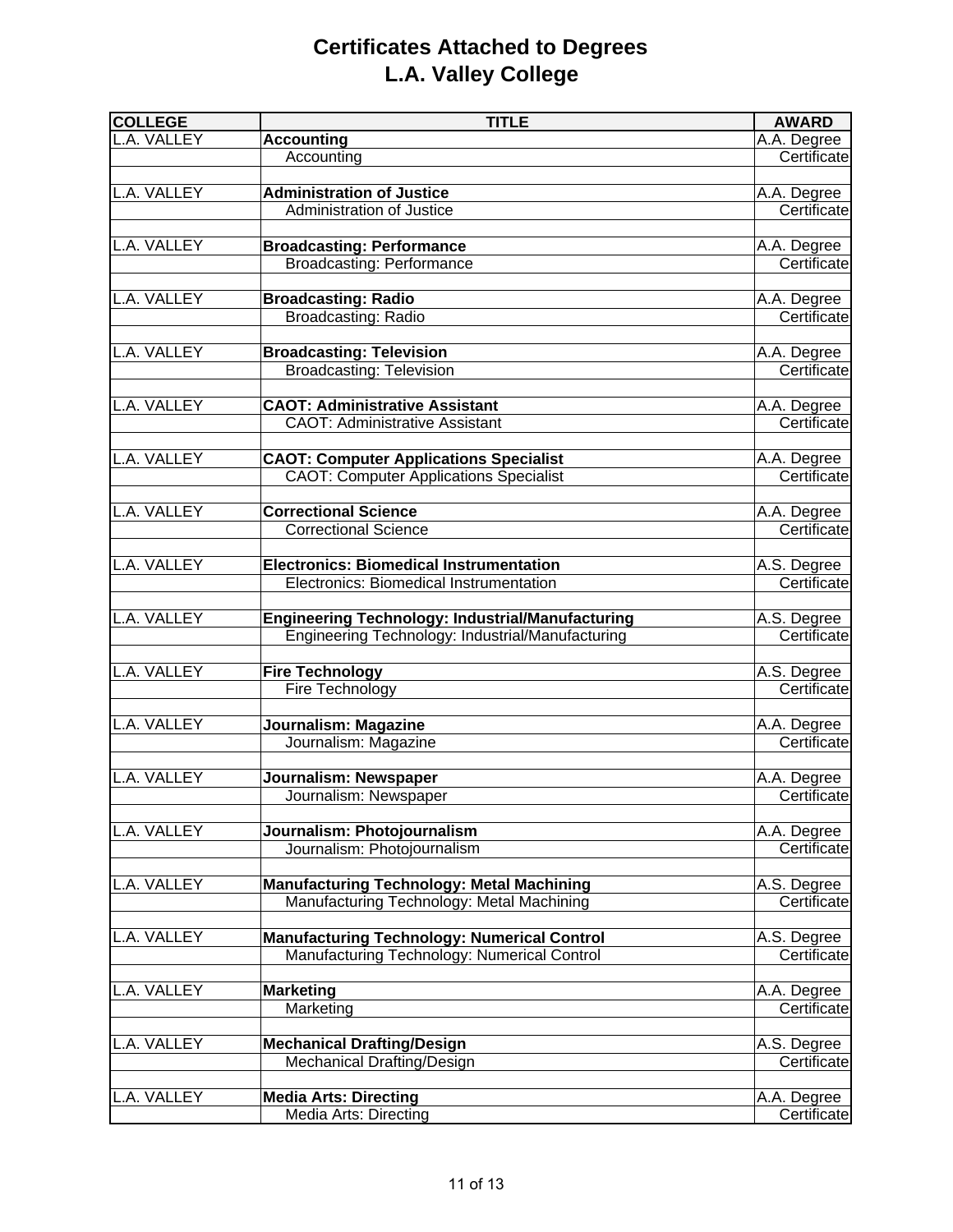# **Certificates Attached to Degrees L.A. Valley College**

| <b>COLLEGE</b> | <b>TITLE</b>                                            | <b>AWARD</b> |
|----------------|---------------------------------------------------------|--------------|
| L.A. VALLEY    | <b>Accounting</b>                                       | A.A. Degree  |
|                | Accounting                                              | Certificate  |
|                |                                                         |              |
| L.A. VALLEY    | <b>Administration of Justice</b>                        | A.A. Degree  |
|                | Administration of Justice                               | Certificate  |
|                |                                                         |              |
| L.A. VALLEY    | <b>Broadcasting: Performance</b>                        | A.A. Degree  |
|                | <b>Broadcasting: Performance</b>                        | Certificate  |
|                |                                                         |              |
| L.A. VALLEY    | <b>Broadcasting: Radio</b>                              | A.A. Degree  |
|                | <b>Broadcasting: Radio</b>                              | Certificate  |
|                |                                                         |              |
| L.A. VALLEY    | <b>Broadcasting: Television</b>                         | A.A. Degree  |
|                | <b>Broadcasting: Television</b>                         | Certificate  |
|                |                                                         |              |
| L.A. VALLEY    | <b>CAOT: Administrative Assistant</b>                   | A.A. Degree  |
|                | <b>CAOT: Administrative Assistant</b>                   | Certificate  |
|                |                                                         |              |
| L.A. VALLEY    | <b>CAOT: Computer Applications Specialist</b>           | A.A. Degree  |
|                | <b>CAOT: Computer Applications Specialist</b>           | Certificate  |
|                |                                                         |              |
| L.A. VALLEY    | <b>Correctional Science</b>                             | A.A. Degree  |
|                | <b>Correctional Science</b>                             | Certificate  |
|                |                                                         |              |
| L.A. VALLEY    | <b>Electronics: Biomedical Instrumentation</b>          | A.S. Degree  |
|                | Electronics: Biomedical Instrumentation                 | Certificate  |
|                |                                                         |              |
| L.A. VALLEY    | <b>Engineering Technology: Industrial/Manufacturing</b> | A.S. Degree  |
|                | Engineering Technology: Industrial/Manufacturing        | Certificate  |
|                |                                                         |              |
| .A. VALLEY     | <b>Fire Technology</b>                                  | A.S. Degree  |
|                | Fire Technology                                         | Certificate  |
|                |                                                         |              |
| A. VALLEY      | <b>Journalism: Magazine</b>                             | A.A. Degree  |
|                | Journalism: Magazine                                    | Certificate  |
|                |                                                         |              |
| L.A. VALLEY    | Journalism: Newspaper                                   | A.A. Degree  |
|                | Journalism: Newspaper                                   | Certificate  |
|                |                                                         |              |
| L.A. VALLEY    | Journalism: Photojournalism                             | A.A. Degree  |
|                | Journalism: Photojournalism                             | Certificate  |
|                |                                                         |              |
| L.A. VALLEY    | <b>Manufacturing Technology: Metal Machining</b>        | A.S. Degree  |
|                | Manufacturing Technology: Metal Machining               | Certificate  |
|                |                                                         |              |
| L.A. VALLEY    | <b>Manufacturing Technology: Numerical Control</b>      | A.S. Degree  |
|                | Manufacturing Technology: Numerical Control             | Certificate  |
|                |                                                         |              |
| L.A. VALLEY    | <b>Marketing</b>                                        | A.A. Degree  |
|                | Marketing                                               | Certificate  |
|                |                                                         |              |
| L.A. VALLEY    | <b>Mechanical Drafting/Design</b>                       | A.S. Degree  |
|                | Mechanical Drafting/Design                              | Certificate  |
|                |                                                         |              |
| L.A. VALLEY    | <b>Media Arts: Directing</b>                            | A.A. Degree  |
|                | Media Arts: Directing                                   | Certificate  |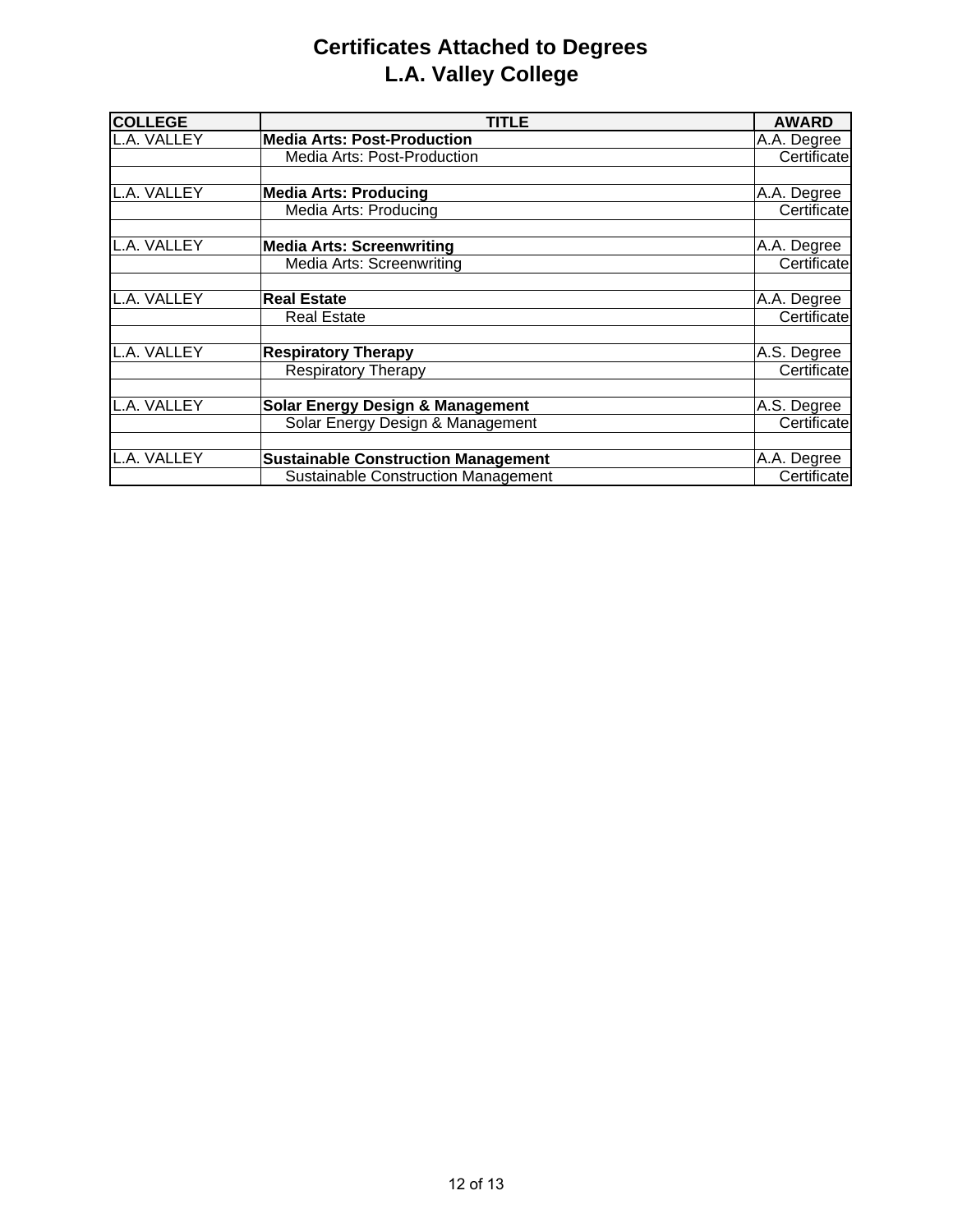# **Certificates Attached to Degrees L.A. Valley College**

| <b>COLLEGE</b> | TITLE                                       | <b>AWARD</b> |
|----------------|---------------------------------------------|--------------|
| L.A. VALLEY    | <b>Media Arts: Post-Production</b>          | A.A. Degree  |
|                | <b>Media Arts: Post-Production</b>          | Certificate  |
|                |                                             |              |
| L.A. VALLEY    | <b>Media Arts: Producing</b>                | A.A. Degree  |
|                | Media Arts: Producing                       | Certificate  |
|                |                                             |              |
| L.A. VALLEY    | <b>Media Arts: Screenwriting</b>            | A.A. Degree  |
|                | Media Arts: Screenwriting                   | Certificate  |
|                |                                             |              |
| L.A. VALLEY    | <b>Real Estate</b>                          | A.A. Degree  |
|                | <b>Real Estate</b>                          | Certificate  |
|                |                                             |              |
| L.A. VALLEY    | <b>Respiratory Therapy</b>                  | A.S. Degree  |
|                | <b>Respiratory Therapy</b>                  | Certificate  |
|                |                                             |              |
| L.A. VALLEY    | <b>Solar Energy Design &amp; Management</b> | A.S. Degree  |
|                | Solar Energy Design & Management            | Certificate  |
|                |                                             |              |
| L.A. VALLEY    | <b>Sustainable Construction Management</b>  | A.A. Degree  |
|                | <b>Sustainable Construction Management</b>  | Certificate  |